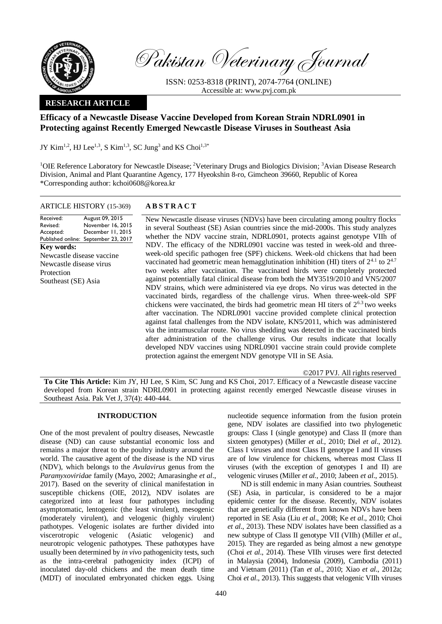

Pakistan Veterinary Journal

ISSN: 0253-8318 (PRINT), 2074-7764 (ONLINE) Accessible at: [www.pvj.com.pk](http://www.pvj.com.pk/)

## **RESEARCH ARTICLE**

# **Efficacy of a Newcastle Disease Vaccine Developed from Korean Strain NDRL0901 in Protecting against Recently Emerged Newcastle Disease Viruses in Southeast Asia**

JY Kim<sup>1,2</sup>, HJ Lee<sup>1,3</sup>, S Kim<sup>1,3</sup>, SC Jung<sup>3</sup> and KS Choi<sup>1,3\*</sup>

<sup>1</sup>OIE Reference Laboratory for Newcastle Disease; <sup>2</sup>Veterinary Drugs and Biologics Division; <sup>3</sup>Avian Disease Research Division, Animal and Plant Quarantine Agency, 177 Hyeokshin 8-ro, Gimcheon 39660, Republic of Korea \*Corresponding author: kchoi0608@korea.kr

## ARTICLE HISTORY (15-369) **A B S T R A C T**

August 09, 2015

Revised: Accepted: Published online: September 23, 2017 November 16, 2015 December 11, 2015 **Key words:**  Newcastle disease vaccine Newcastle disease virus Protection Southeast (SE) Asia

Received:

New Newcastle disease viruses (NDVs) have been circulating among poultry flocks in several Southeast (SE) Asian countries since the mid-2000s. This study analyzes whether the NDV vaccine strain, NDRL0901, protects against genotype VIIh of NDV. The efficacy of the NDRL0901 vaccine was tested in week-old and threeweek-old specific pathogen free (SPF) chickens. Week-old chickens that had been vaccinated had geometric mean hemagglutination inhibition (HI) titers of  $2^{4.1}$  to  $2^{4.7}$ two weeks after vaccination. The vaccinated birds were completely protected against potentially fatal clinical disease from both the MY3519/2010 and VN5/2007 NDV strains, which were administered via eye drops. No virus was detected in the vaccinated birds, regardless of the challenge virus. When three-week-old SPF chickens were vaccinated, the birds had geometric mean HI titers of  $2^{6.3}$  two weeks after vaccination. The NDRL0901 vaccine provided complete clinical protection against fatal challenges from the NDV isolate, KN5/2011, which was administered via the intramuscular route. No virus shedding was detected in the vaccinated birds after administration of the challenge virus. Our results indicate that locally developed NDV vaccines using NDRL0901 vaccine strain could provide complete protection against the emergent NDV genotype VII in SE Asia.

©2017 PVJ. All rights reserved

**To Cite This Article:** Kim JY, HJ Lee, S Kim, SC Jung and KS Choi, 2017. Efficacy of a Newcastle disease vaccine developed from Korean strain NDRL0901 in protecting against recently emerged Newcastle disease viruses in Southeast Asia. Pak Vet J, 37(4): 440-444.

## **INTRODUCTION**

One of the most prevalent of poultry diseases, Newcastle disease (ND) can cause substantial economic loss and remains a major threat to the poultry industry around the world. The causative agent of the disease is the ND virus (NDV), which belongs to the *Avulavirus* genus from the *Paramyxoviridae* family (Mayo, 2002; Amarasinghe *et al*., 2017). Based on the severity of clinical manifestation in susceptible chickens (OIE, 2012), NDV isolates are categorized into at least four pathotypes including asymptomatic, lentogenic (the least virulent), mesogenic (moderately virulent), and velogenic (highly virulent) pathotypes. Velogenic isolates are further divided into viscerotropic velogenic (Asiatic velogenic) and neurotropic velogenic pathotypes. These pathotypes have usually been determined by *in vivo* pathogenicity tests, such as the intra-cerebral pathogenicity index (ICPI) of inoculated day-old chickens and the mean death time (MDT) of inoculated embryonated chicken eggs. Using

nucleotide sequence information from the fusion protein gene, NDV isolates are classified into two phylogenetic groups: Class I (single genotype) and Class II (more than sixteen genotypes) (Miller *et al.*, 2010; Diel *et al*., 2012). Class I viruses and most Class II genotype I and II viruses are of low virulence for chickens, whereas most Class II viruses (with the exception of genotypes I and II) are velogenic viruses (Miller *et al.*, 2010; Jabeen *et al*., 2015).

ND is still endemic in many Asian countries. Southeast (SE) Asia, in particular, is considered to be a major epidemic center for the disease. Recently, NDV isolates that are genetically different from known NDVs have been reported in SE Asia (Liu *et al*., 2008; Ke *et al*., 2010; Choi *et al*., 2013). These NDV isolates have been classified as a new subtype of Class II genotype VII (VIIh) (Miller *et al*., 2015). They are regarded as being almost a new genotype (Choi *et al*., 2014). These VIIh viruses were first detected in Malaysia (2004), Indonesia (2009), Cambodia (2011) and Vietnam (2011) (Tan *et al*., 2010; Xiao *et al*., 2012a; Choi *et al*., 2013). This suggests that velogenic VIIh viruses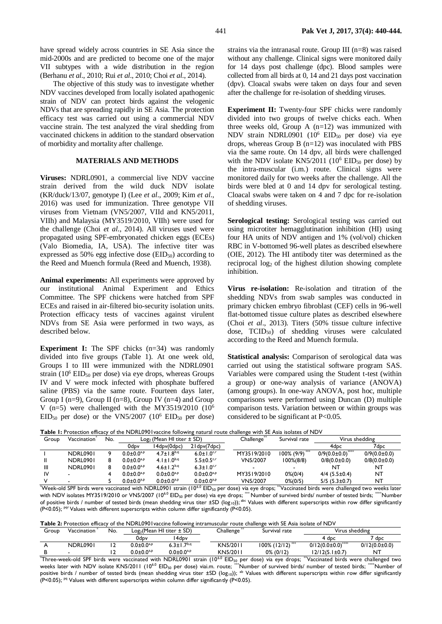have spread widely across countries in SE Asia since the mid-2000s and are predicted to become one of the major VII subtypes with a wide distribution in the region (Berhanu *et al*., 2010; Rui *et al*., 2010; Choi *et al*., 2014).

The objective of this study was to investigate whether NDV vaccines developed from locally isolated apathogenic strain of NDV can protect birds against the velogenic NDVs that are spreading rapidly in SE Asia. The protection efficacy test was carried out using a commercial NDV vaccine strain. The test analyzed the viral shedding from vaccinated chickens in addition to the standard observation of morbidity and mortality after challenge.

### **MATERIALS AND METHODS**

**Viruses:** NDRL0901, a commercial live NDV vaccine strain derived from the wild duck NDV isolate (KR/duck/13/07, genotype I) (Lee *et al*., 2009; Kim *et al*., 2016) was used for immunization. Three genotype VII viruses from Vietnam (VN5/2007, VIId and KN5/2011, VIIh) and Malaysia (MY3519/2010, VIIh) were used for the challenge (Choi *et al*., 2014). All viruses used were propagated using SPF-embryonated chicken eggs (ECEs) (Valo Biomedia, IA, USA). The infective titer was expressed as  $50\%$  egg infective dose (EID $_{50}$ ) according to the Reed and Muench formula (Reed and Muench, 1938).

**Animal experiments:** All experiments were approved by our institutional Animal Experiment and Ethics Committee. The SPF chickens were hatched from SPF ECEs and raised in air-filtered bio-security isolation units. Protection efficacy tests of vaccines against virulent NDVs from SE Asia were performed in two ways, as described below.

**Experiment I:** The SPF chicks (n=34) was randomly divided into five groups (Table 1). At one week old, Groups I to III were immunized with the NDRL0901 strain  $(10^6$  EID<sub>50</sub> per dose) via eye drops, whereas Groups IV and V were mock infected with phosphate buffered saline (PBS) via the same route. Fourteen days later, Group I ( $n=9$ ), Group II ( $n=8$ ), Group IV ( $n=4$ ) and Group V (n=5) were challenged with the MY3519/2010 ( $10<sup>6</sup>$  $EID<sub>50</sub>$  per dose) or the VN5/2007 (10<sup>6</sup> EID<sub>50</sub> per dose) strains via the intranasal route. Group III (n=8) was raised without any challenge. Clinical signs were monitored daily for 14 days post challenge (dpc). Blood samples were collected from all birds at 0, 14 and 21 days post vaccination (dpv). Cloacal swabs were taken on days four and seven after the challenge for re-isolation of shedding viruses.

**Experiment II:** Twenty-four SPF chicks were randomly divided into two groups of twelve chicks each. When three weeks old, Group A  $(n=12)$  was immunized with NDV strain NDRL0901  $(10^6$  EID<sub>50</sub> per dose) via eye drops, whereas Group B  $(n=12)$  was inoculated with PBS via the same route. On 14 dpv, all birds were challenged with the NDV isolate KN5/2011 ( $10^6$  EID<sub>50</sub> per dose) by the intra-muscular (i.m.) route. Clinical signs were monitored daily for two weeks after the challenge. All the birds were bled at 0 and 14 dpv for serological testing. Cloacal swabs were taken on 4 and 7 dpc for re-isolation of shedding viruses.

**Serological testing:** Serological testing was carried out using microtiter hemagglutination inhibition (HI) using four HA units of NDV antigen and 1% (vol/vol) chicken RBC in V-bottomed 96-well plates as described elsewhere (OIE, 2012). The HI antibody titer was determined as the reciprocal log<sub>2</sub> of the highest dilution showing complete inhibition.

**Virus re-isolation:** Re-isolation and titration of the shedding NDVs from swab samples was conducted in primary chicken embryo fibroblast (CEF) cells in 96-well flat-bottomed tissue culture plates as described elsewhere (Choi *et al*., 2013). Titers (50% tissue culture infective dose, TCID50) of shedding viruses were calculated according to the Reed and Muench formula.

**Statistical analysis:** Comparison of serological data was carried out using the statistical software program SAS. Variables were compared using the Student t-test (within a group) or one-way analysis of variance (ANOVA) (among groups). In one-way ANOVA, post hoc, multiple comparisons were performed using Duncan (D) multiple comparison tests. Variation between or within groups was considered to be significant at P<0.05.

**Table 1:** Protection efficacy of the NDRL0901vaccine following natural route challenge with SE Asia isolates of NDV

| Group | Vaccination     | No. | $Log2$ (Mean HI titer $\pm$ SD) |                        |                              | Challenge <sup>®</sup> | Survival rate         | Virus shedding        |                    |
|-------|-----------------|-----|---------------------------------|------------------------|------------------------------|------------------------|-----------------------|-----------------------|--------------------|
|       |                 |     | 0dpv                            | 14dpv(0dpc)            | 21 dpv(7 dpc)                |                        |                       | 4dpc                  | 7dpc               |
|       | <b>NDRL0901</b> |     | $0.0 \pm 0.0^{a,p}$             | $4.7 \pm 1.8^{b,q}$    | $6.0 \pm 1.0$ <sup>c,r</sup> | MY3519/2010            | 100% (9/9) ***        | $0/9(0.0\pm0.0)$      | $0/9(0.0 \pm 0.0)$ |
|       | <b>NDRL0901</b> |     | $0.0 \pm 0.0^{a,p}$             | 4.1±1.0 <sup>b,q</sup> | $5.5 \pm 0.5$ <sup>c,r</sup> | VN5/2007               | $100\%$ $(8/8)$       | $0/8(0.0\pm0.0)$      | $0/8(0.0\pm0.0)$   |
| Ш     | <b>NDRL0901</b> |     | $0.0 \pm 0.0^{a,p}$             | $4.6 \pm 1.2^{b,q}$    | $6.3 \pm 1.0$ <sup>c,r</sup> |                        |                       | NT                    | NT                 |
| IV    |                 |     | $0.0 \pm 0.0^{a,p}$             | $0.0 \pm 0.0^{a,p}$    | $0.0 \pm 0.0^{a,p}$          | MY3519/2010            | $0\% (0/4)$           | $4/4$ (5.5 $\pm$ 0.4) | NT                 |
|       |                 |     | $0.0 \pm 0.0^{a,p}$             | $0.0 \pm 0.0^{a,p}$    | $0.0 \pm 0.0^{a,p}$          | VN5/2007               | $0\frac{2}{10}$ (0/5) | $5/5$ (5.3 $\pm$ 0.7) | NT                 |

\*Week-old SPF birds were vaccinated with NDRL0901 strain (10<sup>6.0</sup> EID<sub>50</sub> per dose) via eye drops; \*\*Vaccinated birds were challenged two weeks later with NDV isolates MY3519/2010 or VN5/2007 (10<sup>6.0</sup> EID<sub>50</sub> per dose) via eye drops; \*\*\* Number of survived birds/ number of tested birds; \*\*\*\*Number of positive birds / number of tested birds (mean shedding virus titer  $\pm SD \left( \log_{10} \right)$ ); <sup>abc</sup> Values with different superscripts within row differ significantly (P<0.05);  $Pqr$  Values with different superscripts within column differ significantly (P<0.05).

|  |  | Table 2: Protection efficacy of the NDRL0901 vaccine following intramuscular route challenge with SE Asia isolate of NDV |  |
|--|--|--------------------------------------------------------------------------------------------------------------------------|--|
|--|--|--------------------------------------------------------------------------------------------------------------------------|--|

| Group | Vaccination     | No. | $Log2(Mean HI titer \pm SD)$ |                            | Challenge | Survival rate    | Virus shedding        |                   |
|-------|-----------------|-----|------------------------------|----------------------------|-----------|------------------|-----------------------|-------------------|
|       |                 |     | 0dpv                         | l 4dpv                     |           |                  | 4 dpc                 | $7$ dpc           |
|       | <b>NDRL0901</b> |     | $0.0 \pm 0.0^{a,p}$          | 6.3 $\pm$ 1.7 $^{\rm b,q}$ | KN5/2011  | 100% (12/12) *** | $0/12(0.0\pm0.0)$ *** | $0/12(0.0\pm0.0)$ |
|       |                 |     | $0.0 \pm 0.0^{a,p}$          | $0.0 \pm 0.0^{a,p}$        | KN5/2011  | $0\%$ (0/12)     | 12/12(5.1±0.7)        | NT                |

 $^*$ Three-week-old SPF birds were vaccinated with NDRL0901 strain (10<sup>6.0</sup> EID<sub>50</sub> per dose) via eye drops;  $^{**}$ Vaccinated birds were challenged two weeks later with NDV isolate KN5/2011 (10<sup>6.0</sup> EID<sub>50</sub> per dose) viai.m. route; \*\*\*Number of survived birds/ number of tested birds; \*\*\*\*Number of positive birds / number of tested birds (mean shedding virus titer  $\pm SD$  (log<sub>10</sub>)); <sup>ab</sup> Values with different superscripts within row differ significantly (P<0.05);  $Pq$  Values with different superscripts within column differ significantly (P<0.05).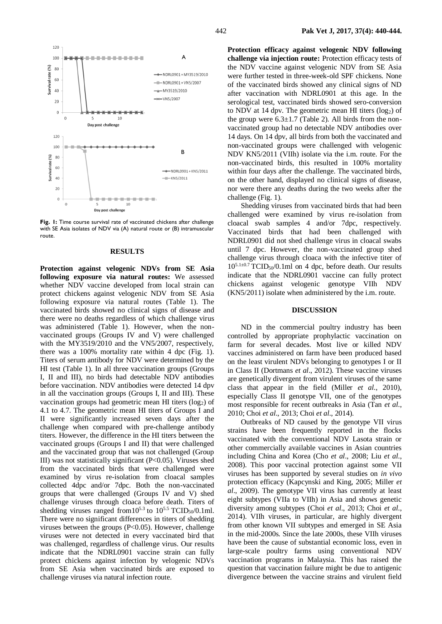

**Fig. 1:** Time course survival rate of vaccinated chickens after challenge with SE Asia isolates of NDV via (A) natural route or (B) intramuscular route.

#### **RESULTS**

**Protection against velogenic NDVs from SE Asia following exposure via natural routes:** We assessed whether NDV vaccine developed from local strain can protect chickens against velogenic NDV from SE Asia following exposure via natural routes (Table 1). The vaccinated birds showed no clinical signs of disease and there were no deaths regardless of which challenge virus was administered (Table 1). However, when the nonvaccinated groups (Groups IV and V) were challenged with the MY3519/2010 and the VN5/2007, respectively, there was a 100% mortality rate within 4 dpc (Fig. 1). Titers of serum antibody for NDV were determined by the HI test (Table 1). In all three vaccination groups (Groups I, II and III), no birds had detectable NDV antibodies before vaccination. NDV antibodies were detected 14 dpv in all the vaccination groups (Groups I, II and III). These vaccination groups had geometric mean HI titers (log<sub>2</sub>) of 4.1 to 4.7. The geometric mean HI titers of Groups I and II were significantly increased seven days after the challenge when compared with pre-challenge antibody titers. However, the difference in the HI titers between the vaccinated groups (Groups I and II) that were challenged and the vaccinated group that was not challenged (Group III) was not statistically significant (P<0.05). Viruses shed from the vaccinated birds that were challenged were examined by virus re-isolation from cloacal samples collected 4dpc and/or 7dpc. Both the non-vaccinated groups that were challenged (Groups IV and V) shed challenge viruses through cloaca before death. Titers of shedding viruses ranged from  $10^{5.3}$  to  $10^{5.5}$  TCID<sub>50</sub>/0.1ml. There were no significant differences in titers of shedding viruses between the groups (P<0.05). However, challenge viruses were not detected in every vaccinated bird that was challenged, regardless of challenge virus. Our results indicate that the NDRL0901 vaccine strain can fully protect chickens against infection by velogenic NDVs from SE Asia when vaccinated birds are exposed to challenge viruses via natural infection route.

**Protection efficacy against velogenic NDV following challenge via injection route:** Protection efficacy tests of the NDV vaccine against velogenic NDV from SE Asia were further tested in three-week-old SPF chickens. None of the vaccinated birds showed any clinical signs of ND after vaccination with NDRL0901 at this age. In the serological test, vaccinated birds showed sero-conversion to NDV at 14 dpv. The geometric mean HI titers  $(log<sub>2</sub>)$  of the group were  $6.3\pm1.7$  (Table 2). All birds from the nonvaccinated group had no detectable NDV antibodies over 14 days. On 14 dpv, all birds from both the vaccinated and non-vaccinated groups were challenged with velogenic NDV KN5/2011 (VIIh) isolate via the i.m. route. For the non-vaccinated birds, this resulted in 100% mortality within four days after the challenge. The vaccinated birds, on the other hand, displayed no clinical signs of disease, nor were there any deaths during the two weeks after the challenge (Fig. 1).

Shedding viruses from vaccinated birds that had been challenged were examined by virus re-isolation from cloacal swab samples 4 and/or 7dpc, respectively. Vaccinated birds that had been challenged with NDRL0901 did not shed challenge virus in cloacal swabs until 7 dpc. However, the non-vaccinated group shed challenge virus through cloaca with the infective titer of  $10^{5.1\pm0.7}$  TCID<sub>50</sub>/0.1ml on 4 dpc, before death. Our results indicate that the NDRL0901 vaccine can fully protect chickens against velogenic genotype VIIh NDV (KN5/2011) isolate when administered by the i.m. route.

#### **DISCUSSION**

ND in the commercial poultry industry has been controlled by appropriate prophylactic vaccination on farm for several decades. Most live or killed NDV vaccines administered on farm have been produced based on the least virulent NDVs belonging to genotypes I or II in Class II (Dortmans *et al*., 2012). These vaccine viruses are genetically divergent from virulent viruses of the same class that appear in the field (Miller *et al*., 2010), especially Class II genotype VII, one of the genotypes most responsible for recent outbreaks in Asia (Tan *et al*., 2010; Choi *et al*., 2013; Choi *et al*., 2014).

Outbreaks of ND caused by the genotype VII virus strains have been frequently reported in the flocks vaccinated with the conventional NDV Lasota strain or other commercially available vaccines in Asian countries including China and Korea (Cho *et al*., 2008; Liu *et al*., 2008). This poor vaccinal protection against some VII viruses has been supported by several studies on *in vivo* protection efficacy (Kapcynski and King, 2005; Miller *et al*., 2009). The genotype VII virus has currently at least eight subtypes (VIIa to VIIh) in Asia and shows genetic diversity among subtypes (Choi *et al*., 2013; Choi *et al*., 2014). VIIh viruses, in particular, are highly divergent from other known VII subtypes and emerged in SE Asia in the mid-2000s. Since the late 2000s, these VIIh viruses have been the cause of substantial economic loss, even in large-scale poultry farms using conventional NDV vaccination programs in Malaysia. This has raised the question that vaccination failure might be due to antigenic divergence between the vaccine strains and virulent field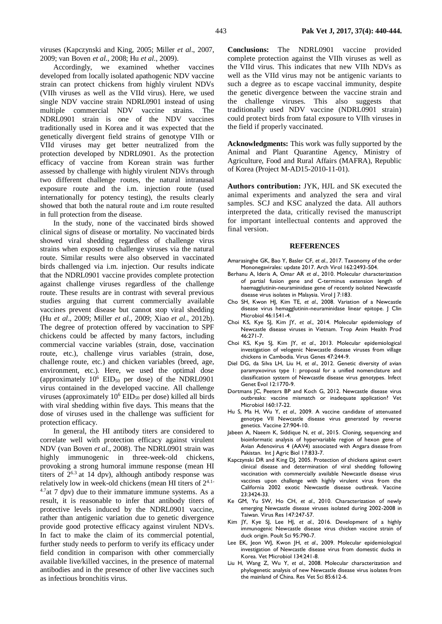viruses (Kapczynski and King, 2005; Miller *et al*., 2007, 2009; van Boven *et al*., 2008; Hu *et al*., 2009).

Accordingly, we examined whether vaccines developed from locally isolated apathogenic NDV vaccine strain can protect chickens from highly virulent NDVs (VIIh viruses as well as the VIId virus). Here, we used single NDV vaccine strain NDRL0901 instead of using multiple commercial NDV vaccine strains. The NDRL0901 strain is one of the NDV vaccines traditionally used in Korea and it was expected that the genetically divergent field strains of genotype VIIh or VIId viruses may get better neutralized from the protection developed by NDRL0901. As the protection efficacy of vaccine from Korean strain was further assessed by challenge with highly virulent NDVs through two different challenge routes, the natural intranasal exposure route and the i.m. injection route (used internationally for potency testing), the results clearly showed that both the natural route and i.m route resulted in full protection from the disease.

In the study, none of the vaccinated birds showed clinical signs of disease or mortality. No vaccinated birds showed viral shedding regardless of challenge virus strains when exposed to challenge viruses via the natural route. Similar results were also observed in vaccinated birds challenged via i.m. injection. Our results indicate that the NDRL0901 vaccine provides complete protection against challenge viruses regardless of the challenge route. These results are in contrast with several previous studies arguing that current commercially available vaccines prevent disease but cannot stop viral shedding (Hu *et al*., 2009; Miller *et al*., 2009; Xiao *et al*., 2012b). The degree of protection offered by vaccination to SPF chickens could be affected by many factors, including commercial vaccine variables (strain, dose, vaccination route, etc.), challenge virus variables (strain, dose, challenge route, etc.) and chicken variables (breed, age, environment, etc.). Here, we used the optimal dose (approximately  $10^6$  EID<sub>50</sub> per dose) of the NDRL0901 virus contained in the developed vaccine. All challenge viruses (approximately  $10^6$  EID<sub>50</sub> per dose) killed all birds with viral shedding within five days. This means that the dose of viruses used in the challenge was sufficient for protection efficacy.

In general, the HI antibody titers are considered to correlate well with protection efficacy against virulent NDV (van Boven *et al*., 2008). The NDRL0901 strain was highly immunogenic in three-week-old chickens, provoking a strong humoral immune response (mean HI titers of  $2^{6.3}$  at 14 dpv), although antibody response was relatively low in week-old chickens (mean HI titers of 24.1-  $4.7$ at 7 dpv) due to their immature immune systems. As a result, it is reasonable to infer that antibody titers of protective levels induced by the NDRL0901 vaccine, rather than antigenic variation due to genetic divergence provide good protective efficacy against virulent NDVs. In fact to make the claim of its commercial potential, further study needs to perform to verify its efficacy under field condition in comparison with other commercially available live/killed vaccines, in the presence of maternal antibodies and in the presence of other live vaccines such as infectious bronchitis virus.

**Conclusions:** The NDRL0901 vaccine provided complete protection against the VIIh viruses as well as the VIId virus. This indicates that new VIIh NDVs as well as the VIId virus may not be antigenic variants to such a degree as to escape vaccinal immunity, despite the genetic divergence between the vaccine strain and the challenge viruses. This also suggests that traditionally used NDV vaccine (NDRL0901 strain) could protect birds from fatal exposure to VIIh viruses in the field if properly vaccinated.

**Acknowledgments:** This work was fully supported by the Animal and Plant Quarantine Agency, Ministry of Agriculture, Food and Rural Affairs (MAFRA), Republic of Korea (Project M-AD15-2010-11-01).

**Authors contribution:** JYK, HJL and SK executed the animal experiments and analyzed the sera and viral samples. SCJ and KSC analyzed the data. All authors interpreted the data, critically revised the manuscript for important intellectual contents and approved the final version.

#### **REFERENCES**

- Amarasinghe GK, Bao Y, Basler CF, *et al*., 2017. Taxonomy of the order Mononegavirales: update 2017. Arch Virol 162:2493-504.
- Berhanu A, Ideris A, Omar AR *et al*., 2010. Molecular characterization of partial fusion gene and C-terminus extension length of haemagglutinin-neuraminidase gene of recently isolated Newcastle disease virus isolates in Malaysia. Virol J 7:183.
- Cho SH, Kwon HJ, Kim TE, *et al*., 2008. Variation of a Newcastle disease virus hemagglutinin-neuraminidase linear epitope. J Clin Microbiol 46:1541-4.
- Choi KS, Kye SJ, Kim JY, *et al*., 2014. Molecular epidemiology of Newcastle disease viruses in Vietnam. Trop Anim Health Prod 46:271-7.
- Choi KS, Kye SJ, Kim JY, *et al*., 2013. Molecular epidemiological investigation of velogenic Newcastle disease viruses from village chickens in Cambodia. Virus Genes 47:244-9.
- Diel DG, da Silva LH, Liu H, *et al*., 2012. Genetic diversity of avian paramyxovirus type 1: proposal for a unified nomenclature and classification system of Newcastle disease virus genotypes. Infect Genet Evol 12:1770-9.
- Dortmans JC, Peeters BP and Koch G, 2012. Newcastle disease virus outbreaks: vaccine mismatch or inadequate application? Vet Microbiol 160:17-22.
- Hu S, Ma H, Wu Y, *et al*., 2009. A vaccine candidate of attenuated genotype VII Newcastle disease virus generated by reverse genetics. Vaccine 27:904-10.
- Jabeen A, Naeem K, Siddique N, *et al*., 2015. Cloning, sequencing and bioinformatic analysis of hypervariable region of hexon gene of Avian Adenovirus 4 (AAV4) associated with Angara disease from Pakistan. [Int J Agric Biol](javascript:;) 17:833-7.
- Kapczynski DR and King DJ, 2005. Protection of chickens against overt clinical disease and determination of viral shedding following vaccination with commercially available Newcastle disease virus vaccines upon challenge with highly virulent virus from the California 2002 exotic Newcastle disease outbreak. Vaccine 23:3424-33.
- Ke GM, Yu SW, Ho CH, *et al*., 2010. Characterization of newly emerging Newcastle disease viruses isolated during 2002-2008 in Taiwan. Virus Res 147:247-57.
- Kim JY, Kye SJ, Lee HJ, *et al*., 2016. Development of a highly immunogenic Newcastle disease virus chicken vaccine strain of duck origin. Poult Sci 95:790-7.
- Lee EK, Jeon WJ, Kwon JH, *et al*., 2009. [Molecular epidemiological](http://www.ncbi.nlm.nih.gov/pubmed/18829185)  [investigation of Newcastle disease virus from domestic ducks in](http://www.ncbi.nlm.nih.gov/pubmed/18829185)  [Korea.](http://www.ncbi.nlm.nih.gov/pubmed/18829185) Vet Microbiol 134:241-8.
- Liu H, Wang Z, Wu Y, *et al*., 2008. Molecular characterization and phylogenetic analysis of new Newcastle disease virus isolates from the mainland of China. Res Vet Sci 85:612-6.